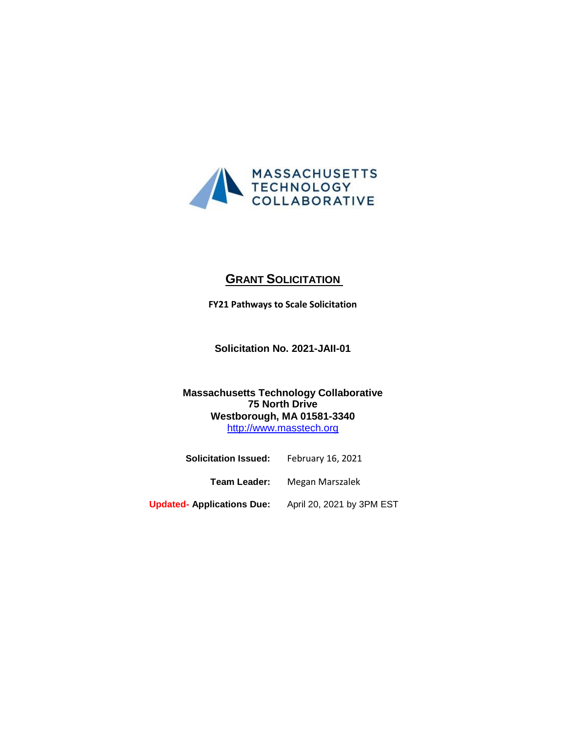

# **GRANT SOLICITATION**

**FY21 Pathways to Scale Solicitation**

**Solicitation No. 2021-JAII-01**

# **Massachusetts Technology Collaborative 75 North Drive Westborough, MA 01581-3340** [http://www.masstech.org](http://www.masstech.org/)

| <b>Solicitation Issued:</b>       | February 16, 2021         |
|-----------------------------------|---------------------------|
| Team Leader:                      | Megan Marszalek           |
| <b>Updated- Applications Due:</b> | April 20, 2021 by 3PM EST |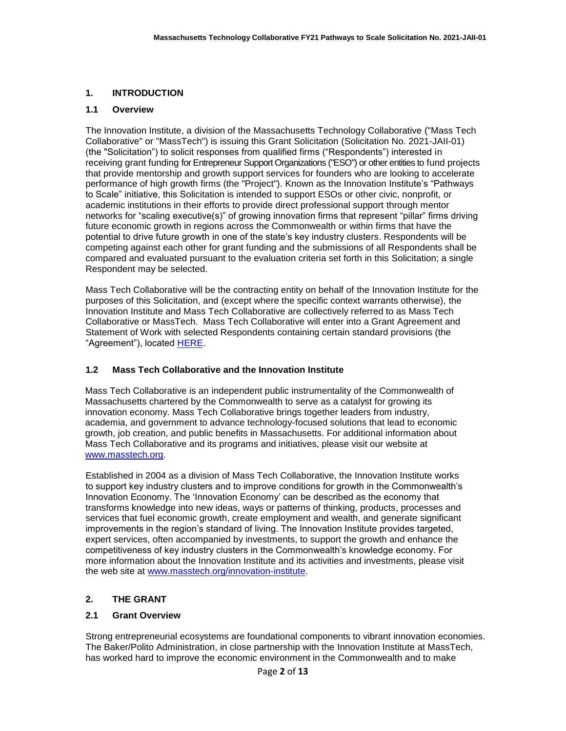### **1. INTRODUCTION**

#### **1.1 Overview**

The Innovation Institute, a division of the Massachusetts Technology Collaborative ("Mass Tech Collaborative" or "MassTech") is issuing this Grant Solicitation (Solicitation No. 2021-JAII-01) (the "Solicitation") to solicit responses from qualified firms ("Respondents") interested in receiving grant funding for Entrepreneur Support Organizations ("ESO") or other entities to fund projects that provide mentorship and growth support services for founders who are looking to accelerate performance of high growth firms (the "Project"). Known as the Innovation Institute's "Pathways to Scale" initiative, this Solicitation is intended to support ESOs or other civic, nonprofit, or academic institutions in their efforts to provide direct professional support through mentor networks for "scaling executive(s)" of growing innovation firms that represent "pillar" firms driving future economic growth in regions across the Commonwealth or within firms that have the potential to drive future growth in one of the state's key industry clusters. Respondents will be competing against each other for grant funding and the submissions of all Respondents shall be compared and evaluated pursuant to the evaluation criteria set forth in this Solicitation; a single Respondent may be selected.

Mass Tech Collaborative will be the contracting entity on behalf of the Innovation Institute for the purposes of this Solicitation, and (except where the specific context warrants otherwise), the Innovation Institute and Mass Tech Collaborative are collectively referred to as Mass Tech Collaborative or MassTech. Mass Tech Collaborative will enter into a Grant Agreement and Statement of Work with selected Respondents containing certain standard provisions (the "Agreement"), located [HERE.](https://masstech.org/sites/mtc/files/documents/Legal/Grant%20Agreement%20and%20SOW%20FINAL%20with%20watermark.pdf)

### **1.2 Mass Tech Collaborative and the Innovation Institute**

Mass Tech Collaborative is an independent public instrumentality of the Commonwealth of Massachusetts chartered by the Commonwealth to serve as a catalyst for growing its innovation economy. Mass Tech Collaborative brings together leaders from industry, academia, and government to advance technology-focused solutions that lead to economic growth, job creation, and public benefits in Massachusetts. For additional information about Mass Tech Collaborative and its programs and initiatives, please visit our website at [www.masstech.org.](http://www.masstech.org/)

Established in 2004 as a division of Mass Tech Collaborative, the Innovation Institute works to support key industry clusters and to improve conditions for growth in the Commonwealth's Innovation Economy. The 'Innovation Economy' can be described as the economy that transforms knowledge into new ideas, ways or patterns of thinking, products, processes and services that fuel economic growth, create employment and wealth, and generate significant improvements in the region's standard of living. The Innovation Institute provides targeted, expert services, often accompanied by investments, to support the growth and enhance the competitiveness of key industry clusters in the Commonwealth's knowledge economy. For more information about the Innovation Institute and its activities and investments, please visit the web site at [www.masstech.org/innovation-institute.](file:///C:/Users/kleanthous/Desktop/Agreement%20Simplification/2020/Procurements/Grant%20Solicitations/www.masstech.org/innovation-institute)

### **2. THE GRANT**

### **2.1 Grant Overview**

Strong entrepreneurial ecosystems are foundational components to vibrant innovation economies. The Baker/Polito Administration, in close partnership with the Innovation Institute at MassTech, has worked hard to improve the economic environment in the Commonwealth and to make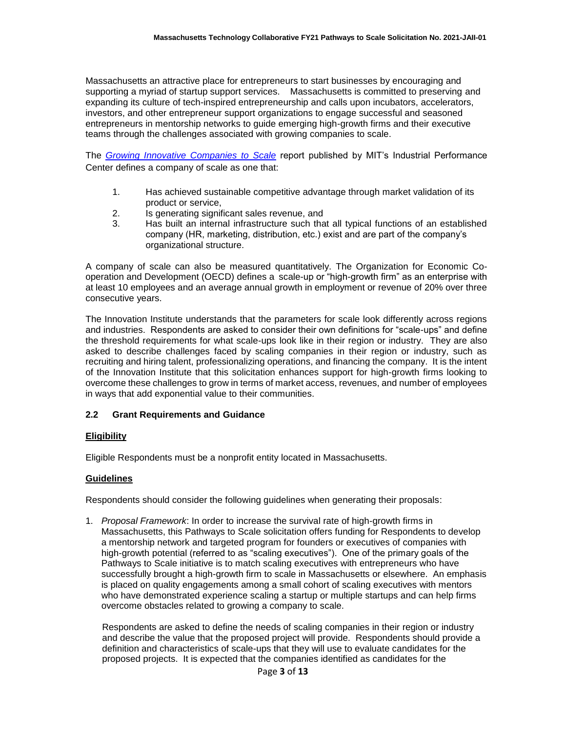Massachusetts an attractive place for entrepreneurs to start businesses by encouraging and supporting a myriad of startup support services. Massachusetts is committed to preserving and expanding its culture of tech-inspired entrepreneurship and calls upon incubators, accelerators, investors, and other entrepreneur support organizations to engage successful and seasoned entrepreneurs in mentorship networks to guide emerging high-growth firms and their executive teams through the challenges associated with growing companies to scale.

The *[Growing Innovative Companies to Scale](http://ipc-archive.mit.edu/sites/default/files/documents/ScaleUpReportDec2015.pdf)* report published by MIT's Industrial Performance Center defines a company of scale as one that:

- 1. Has achieved sustainable competitive advantage through market validation of its product or service,
- 2. Is generating significant sales revenue, and
- 3. Has built an internal infrastructure such that all typical functions of an established company (HR, marketing, distribution, etc.) exist and are part of the company's organizational structure.

A company of scale can also be measured quantitatively. The Organization for Economic Cooperation and Development (OECD) defines a scale-up or "high-growth firm" as an enterprise with at least 10 employees and an average annual growth in employment or revenue of 20% over three consecutive years.

The Innovation Institute understands that the parameters for scale look differently across regions and industries. Respondents are asked to consider their own definitions for "scale-ups" and define the threshold requirements for what scale-ups look like in their region or industry. They are also asked to describe challenges faced by scaling companies in their region or industry, such as recruiting and hiring talent, professionalizing operations, and financing the company. It is the intent of the Innovation Institute that this solicitation enhances support for high-growth firms looking to overcome these challenges to grow in terms of market access, revenues, and number of employees in ways that add exponential value to their communities.

#### **2.2 Grant Requirements and Guidance**

#### **Eligibility**

Eligible Respondents must be a nonprofit entity located in Massachusetts.

#### **Guidelines**

Respondents should consider the following guidelines when generating their proposals:

1. *Proposal Framework*: In order to increase the survival rate of high-growth firms in Massachusetts, this Pathways to Scale solicitation offers funding for Respondents to develop a mentorship network and targeted program for founders or executives of companies with high-growth potential (referred to as "scaling executives"). One of the primary goals of the Pathways to Scale initiative is to match scaling executives with entrepreneurs who have successfully brought a high-growth firm to scale in Massachusetts or elsewhere. An emphasis is placed on quality engagements among a small cohort of scaling executives with mentors who have demonstrated experience scaling a startup or multiple startups and can help firms overcome obstacles related to growing a company to scale.

Respondents are asked to define the needs of scaling companies in their region or industry and describe the value that the proposed project will provide. Respondents should provide a definition and characteristics of scale-ups that they will use to evaluate candidates for the proposed projects. It is expected that the companies identified as candidates for the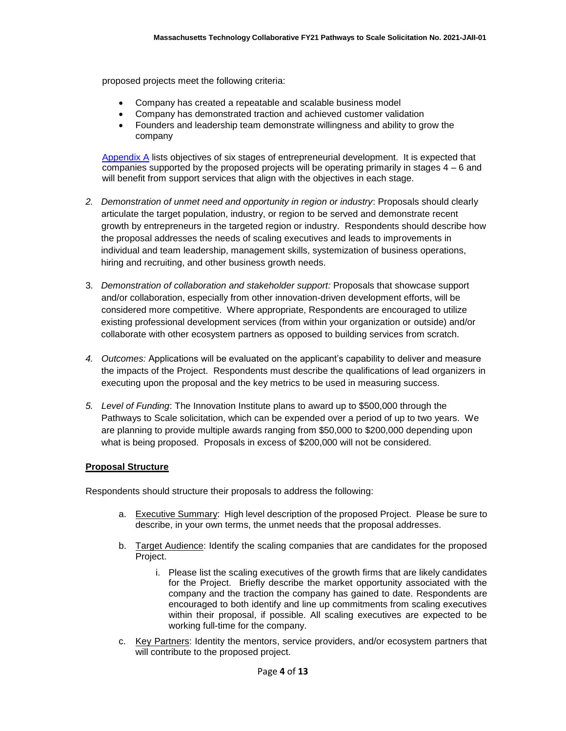proposed projects meet the following criteria:

- Company has created a repeatable and scalable business model
- Company has demonstrated traction and achieved customer validation
- Founders and leadership team demonstrate willingness and ability to grow the company

Appendix A lists objectives of six stages of entrepreneurial development. It is expected that companies supported by the proposed projects will be operating primarily in stages  $4 - 6$  and will benefit from support services that align with the objectives in each stage.

- *2. Demonstration of unmet need and opportunity in region or industry*: Proposals should clearly articulate the target population, industry, or region to be served and demonstrate recent growth by entrepreneurs in the targeted region or industry. Respondents should describe how the proposal addresses the needs of scaling executives and leads to improvements in individual and team leadership, management skills, systemization of business operations, hiring and recruiting, and other business growth needs.
- 3. *Demonstration of collaboration and stakeholder support:* Proposals that showcase support and/or collaboration, especially from other innovation-driven development efforts, will be considered more competitive. Where appropriate, Respondents are encouraged to utilize existing professional development services (from within your organization or outside) and/or collaborate with other ecosystem partners as opposed to building services from scratch.
- *4. Outcomes:* Applications will be evaluated on the applicant's capability to deliver and measure the impacts of the Project. Respondents must describe the qualifications of lead organizers in executing upon the proposal and the key metrics to be used in measuring success.
- *5. Level of Funding*: The Innovation Institute plans to award up to \$500,000 through the Pathways to Scale solicitation, which can be expended over a period of up to two years. We are planning to provide multiple awards ranging from \$50,000 to \$200,000 depending upon what is being proposed. Proposals in excess of \$200,000 will not be considered.

### **Proposal Structure**

Respondents should structure their proposals to address the following:

- a. Executive Summary: High level description of the proposed Project. Please be sure to describe, in your own terms, the unmet needs that the proposal addresses.
- b. Target Audience: Identify the scaling companies that are candidates for the proposed Project.
	- i. Please list the scaling executives of the growth firms that are likely candidates for the Project. Briefly describe the market opportunity associated with the company and the traction the company has gained to date. Respondents are encouraged to both identify and line up commitments from scaling executives within their proposal, if possible. All scaling executives are expected to be working full-time for the company.
- c. Key Partners: Identity the mentors, service providers, and/or ecosystem partners that will contribute to the proposed project.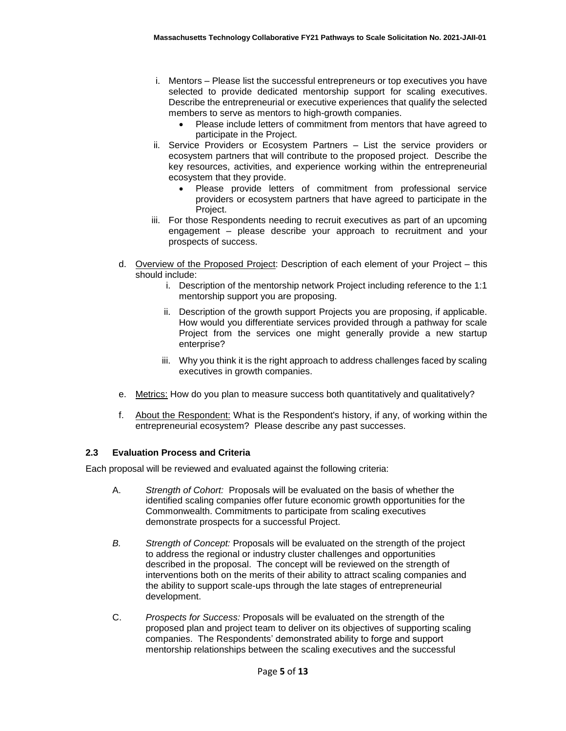- i. Mentors Please list the successful entrepreneurs or top executives you have selected to provide dedicated mentorship support for scaling executives. Describe the entrepreneurial or executive experiences that qualify the selected members to serve as mentors to high-growth companies.
	- Please include letters of commitment from mentors that have agreed to participate in the Project.
- ii. Service Providers or Ecosystem Partners List the service providers or ecosystem partners that will contribute to the proposed project. Describe the key resources, activities, and experience working within the entrepreneurial ecosystem that they provide.
	- Please provide letters of commitment from professional service providers or ecosystem partners that have agreed to participate in the Project.
- iii. For those Respondents needing to recruit executives as part of an upcoming engagement – please describe your approach to recruitment and your prospects of success.
- d. Overview of the Proposed Project: Description of each element of your Project this should include:
	- i. Description of the mentorship network Project including reference to the 1:1 mentorship support you are proposing.
	- ii. Description of the growth support Projects you are proposing, if applicable. How would you differentiate services provided through a pathway for scale Project from the services one might generally provide a new startup enterprise?
	- iii. Why you think it is the right approach to address challenges faced by scaling executives in growth companies.
- e. Metrics: How do you plan to measure success both quantitatively and qualitatively?
- f. About the Respondent: What is the Respondent's history, if any, of working within the entrepreneurial ecosystem? Please describe any past successes.

### **2.3 Evaluation Process and Criteria**

Each proposal will be reviewed and evaluated against the following criteria:

- A. *Strength of Cohort:* Proposals will be evaluated on the basis of whether the identified scaling companies offer future economic growth opportunities for the Commonwealth. Commitments to participate from scaling executives demonstrate prospects for a successful Project.
- *B. Strength of Concept:* Proposals will be evaluated on the strength of the project to address the regional or industry cluster challenges and opportunities described in the proposal. The concept will be reviewed on the strength of interventions both on the merits of their ability to attract scaling companies and the ability to support scale-ups through the late stages of entrepreneurial development.
- C. *Prospects for Success:* Proposals will be evaluated on the strength of the proposed plan and project team to deliver on its objectives of supporting scaling companies. The Respondents' demonstrated ability to forge and support mentorship relationships between the scaling executives and the successful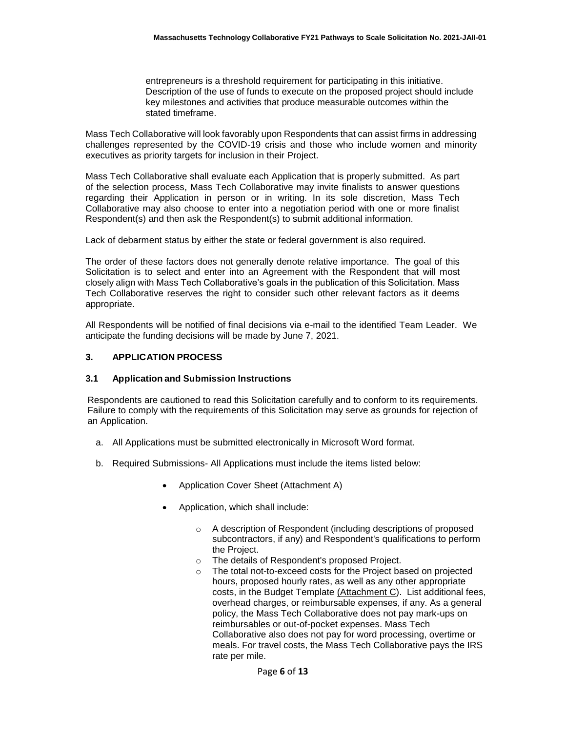entrepreneurs is a threshold requirement for participating in this initiative. Description of the use of funds to execute on the proposed project should include key milestones and activities that produce measurable outcomes within the stated timeframe.

Mass Tech Collaborative will look favorably upon Respondents that can assist firms in addressing challenges represented by the COVID-19 crisis and those who include women and minority executives as priority targets for inclusion in their Project.

Mass Tech Collaborative shall evaluate each Application that is properly submitted. As part of the selection process, Mass Tech Collaborative may invite finalists to answer questions regarding their Application in person or in writing. In its sole discretion, Mass Tech Collaborative may also choose to enter into a negotiation period with one or more finalist Respondent(s) and then ask the Respondent(s) to submit additional information.

Lack of debarment status by either the state or federal government is also required.

The order of these factors does not generally denote relative importance. The goal of this Solicitation is to select and enter into an Agreement with the Respondent that will most closely align with Mass Tech Collaborative's goals in the publication of this Solicitation. Mass Tech Collaborative reserves the right to consider such other relevant factors as it deems appropriate.

All Respondents will be notified of final decisions via e-mail to the identified Team Leader. We anticipate the funding decisions will be made by June 7, 2021.

#### **3. APPLICATION PROCESS**

#### **3.1 Application and Submission Instructions**

Respondents are cautioned to read this Solicitation carefully and to conform to its requirements. Failure to comply with the requirements of this Solicitation may serve as grounds for rejection of an Application.

- a. All Applications must be submitted electronically in Microsoft Word format.
- b. Required Submissions- All Applications must include the items listed below:
	- Application Cover Sheet (Attachment A)
	- Application, which shall include:
		- o A description of Respondent (including descriptions of proposed subcontractors, if any) and Respondent's qualifications to perform the Project.
		- o The details of Respondent's proposed Project.
		- o The total not-to-exceed costs for the Project based on projected hours, proposed hourly rates, as well as any other appropriate costs, in the Budget Template (Attachment C). List additional fees, overhead charges, or reimbursable expenses, if any. As a general policy, the Mass Tech Collaborative does not pay mark-ups on reimbursables or out-of-pocket expenses. Mass Tech Collaborative also does not pay for word processing, overtime or meals. For travel costs, the Mass Tech Collaborative pays the IRS rate per mile.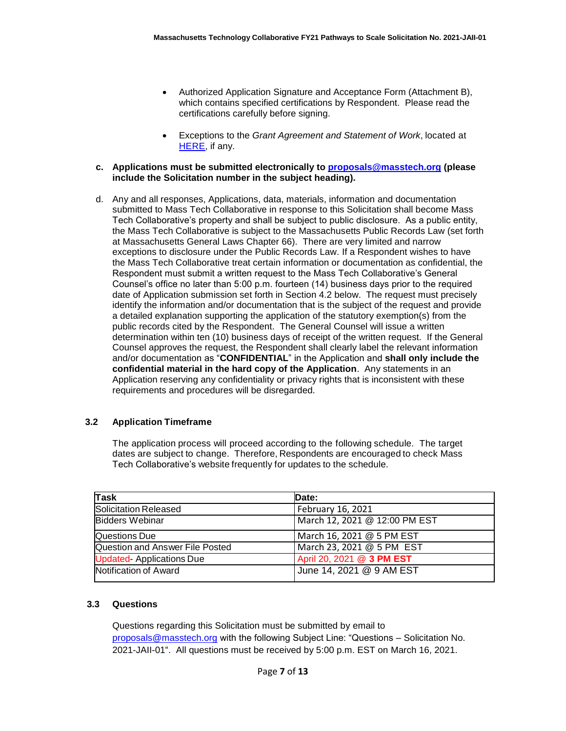- Authorized Application Signature and Acceptance Form (Attachment B), which contains specified certifications by Respondent. Please read the certifications carefully before signing.
- Exceptions to the *Grant Agreement and Statement of Work*, located at [HERE,](https://masstech.org/sites/mtc/files/documents/Legal/Grant%20Agreement%20and%20SOW%20FINAL%20with%20watermark.pdf) if any.

#### **c. Applications must be submitted electronically to [proposals@masstech.org](file:///C:/Users/kleanthous/Desktop/TEMPLATES/proposals@masstech.org) (please include the Solicitation number in the subject heading).**

d. Any and all responses, Applications, data, materials, information and documentation submitted to Mass Tech Collaborative in response to this Solicitation shall become Mass Tech Collaborative's property and shall be subject to public disclosure. As a public entity, the Mass Tech Collaborative is subject to the Massachusetts Public Records Law (set forth at Massachusetts General Laws Chapter 66). There are very limited and narrow exceptions to disclosure under the Public Records Law. If a Respondent wishes to have the Mass Tech Collaborative treat certain information or documentation as confidential, the Respondent must submit a written request to the Mass Tech Collaborative's General Counsel's office no later than 5:00 p.m. fourteen (14) business days prior to the required date of Application submission set forth in Section 4.2 below. The request must precisely identify the information and/or documentation that is the subject of the request and provide a detailed explanation supporting the application of the statutory exemption(s) from the public records cited by the Respondent. The General Counsel will issue a written determination within ten (10) business days of receipt of the written request. If the General Counsel approves the request, the Respondent shall clearly label the relevant information and/or documentation as "**CONFIDENTIAL**" in the Application and **shall only include the confidential material in the hard copy of the Application**. Any statements in an Application reserving any confidentiality or privacy rights that is inconsistent with these requirements and procedures will be disregarded.

### **3.2 Application Timeframe**

The application process will proceed according to the following schedule. The target dates are subject to change. Therefore, Respondents are encouraged to check Mass Tech Collaborative's website frequently for updates to the schedule.

| Task                            | Date:                         |
|---------------------------------|-------------------------------|
| <b>Solicitation Released</b>    | February 16, 2021             |
| <b>Bidders Webinar</b>          | March 12, 2021 @ 12:00 PM EST |
| Questions Due                   | March 16, 2021 @ 5 PM EST     |
| Question and Answer File Posted | March 23, 2021 @ 5 PM EST     |
| <b>Updated-Applications Due</b> | April 20, 2021 @ 3 PM EST     |
| Notification of Award           | June 14, 2021 @ 9 AM EST      |

### **3.3 Questions**

Questions regarding this Solicitation must be submitted by email to [proposals@masstech.org](mailto:proposals@masstech.org) with the following Subject Line: "Questions – Solicitation No. 2021-JAII-01". All questions must be received by 5:00 p.m. EST on March 16, 2021.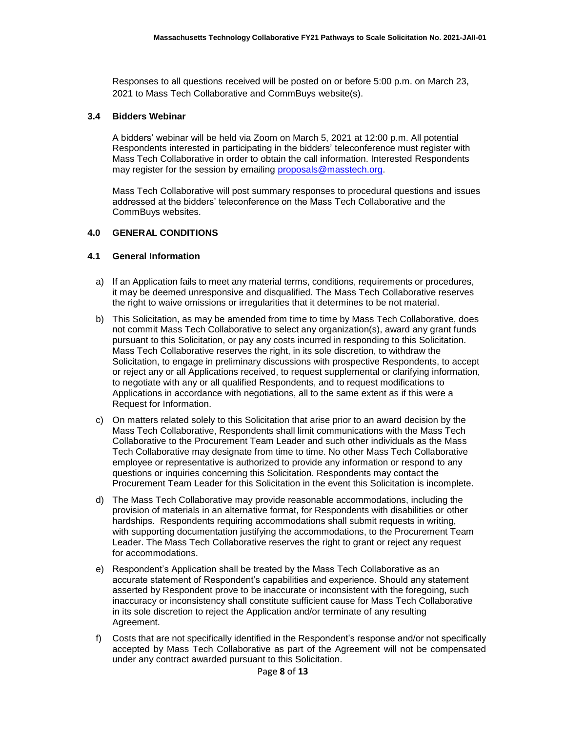Responses to all questions received will be posted on or before 5:00 p.m. on March 23, 2021 to Mass Tech Collaborative and CommBuys website(s).

#### **3.4 Bidders Webinar**

A bidders' webinar will be held via Zoom on March 5, 2021 at 12:00 p.m. All potential Respondents interested in participating in the bidders' teleconference must register with Mass Tech Collaborative in order to obtain the call information. Interested Respondents may register for the session by emailing [proposals@masstech.org.](mailto:proposals@masstech.org)

Mass Tech Collaborative will post summary responses to procedural questions and issues addressed at the bidders' teleconference on the Mass Tech Collaborative and the CommBuys websites.

### **4.0 GENERAL CONDITIONS**

#### **4.1 General Information**

- a) If an Application fails to meet any material terms, conditions, requirements or procedures, it may be deemed unresponsive and disqualified. The Mass Tech Collaborative reserves the right to waive omissions or irregularities that it determines to be not material.
- b) This Solicitation, as may be amended from time to time by Mass Tech Collaborative, does not commit Mass Tech Collaborative to select any organization(s), award any grant funds pursuant to this Solicitation, or pay any costs incurred in responding to this Solicitation. Mass Tech Collaborative reserves the right, in its sole discretion, to withdraw the Solicitation, to engage in preliminary discussions with prospective Respondents, to accept or reject any or all Applications received, to request supplemental or clarifying information, to negotiate with any or all qualified Respondents, and to request modifications to Applications in accordance with negotiations, all to the same extent as if this were a Request for Information.
- c) On matters related solely to this Solicitation that arise prior to an award decision by the Mass Tech Collaborative, Respondents shall limit communications with the Mass Tech Collaborative to the Procurement Team Leader and such other individuals as the Mass Tech Collaborative may designate from time to time. No other Mass Tech Collaborative employee or representative is authorized to provide any information or respond to any questions or inquiries concerning this Solicitation. Respondents may contact the Procurement Team Leader for this Solicitation in the event this Solicitation is incomplete.
- d) The Mass Tech Collaborative may provide reasonable accommodations, including the provision of materials in an alternative format, for Respondents with disabilities or other hardships. Respondents requiring accommodations shall submit requests in writing, with supporting documentation justifying the accommodations, to the Procurement Team Leader. The Mass Tech Collaborative reserves the right to grant or reject any request for accommodations.
- e) Respondent's Application shall be treated by the Mass Tech Collaborative as an accurate statement of Respondent's capabilities and experience. Should any statement asserted by Respondent prove to be inaccurate or inconsistent with the foregoing, such inaccuracy or inconsistency shall constitute sufficient cause for Mass Tech Collaborative in its sole discretion to reject the Application and/or terminate of any resulting Agreement.
- f) Costs that are not specifically identified in the Respondent's response and/or not specifically accepted by Mass Tech Collaborative as part of the Agreement will not be compensated under any contract awarded pursuant to this Solicitation.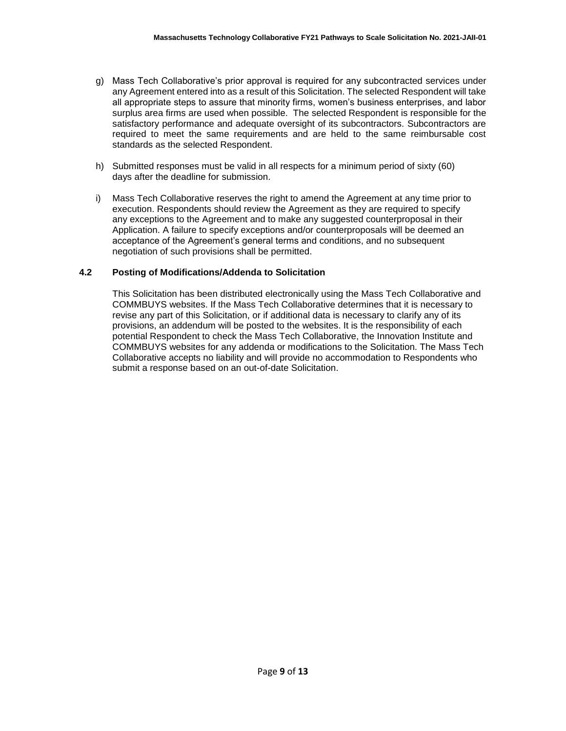- g) Mass Tech Collaborative's prior approval is required for any subcontracted services under any Agreement entered into as a result of this Solicitation. The selected Respondent will take all appropriate steps to assure that minority firms, women's business enterprises, and labor surplus area firms are used when possible. The selected Respondent is responsible for the satisfactory performance and adequate oversight of its subcontractors. Subcontractors are required to meet the same requirements and are held to the same reimbursable cost standards as the selected Respondent.
- h) Submitted responses must be valid in all respects for a minimum period of sixty (60) days after the deadline for submission.
- i) Mass Tech Collaborative reserves the right to amend the Agreement at any time prior to execution. Respondents should review the Agreement as they are required to specify any exceptions to the Agreement and to make any suggested counterproposal in their Application. A failure to specify exceptions and/or counterproposals will be deemed an acceptance of the Agreement's general terms and conditions, and no subsequent negotiation of such provisions shall be permitted.

#### **4.2 Posting of Modifications/Addenda to Solicitation**

This Solicitation has been distributed electronically using the Mass Tech Collaborative and COMMBUYS websites. If the Mass Tech Collaborative determines that it is necessary to revise any part of this Solicitation, or if additional data is necessary to clarify any of its provisions, an addendum will be posted to the websites. It is the responsibility of each potential Respondent to check the Mass Tech Collaborative, the Innovation Institute and COMMBUYS websites for any addenda or modifications to the Solicitation. The Mass Tech Collaborative accepts no liability and will provide no accommodation to Respondents who submit a response based on an out-of-date Solicitation.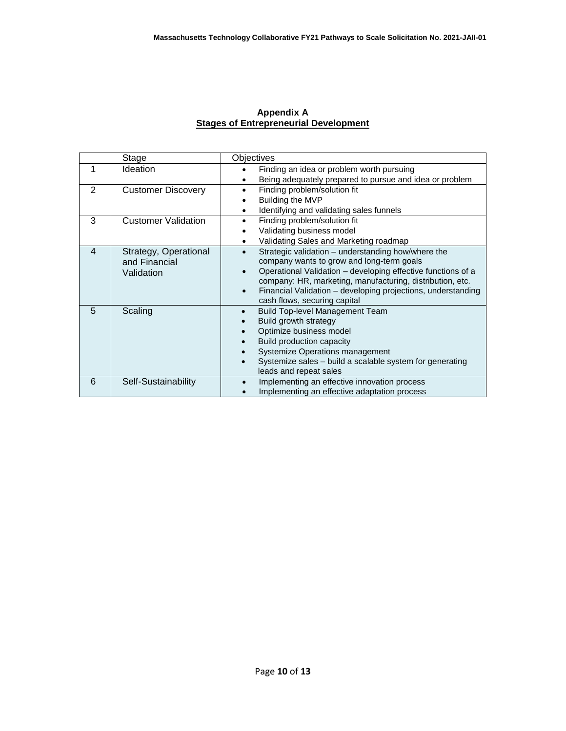#### **Appendix A Stages of Entrepreneurial Development**

|   | Stage                      | <b>Objectives</b>                                            |  |  |
|---|----------------------------|--------------------------------------------------------------|--|--|
| 1 | <b>Ideation</b>            | Finding an idea or problem worth pursuing<br>$\bullet$       |  |  |
|   |                            | Being adequately prepared to pursue and idea or problem<br>٠ |  |  |
| 2 | <b>Customer Discovery</b>  | Finding problem/solution fit                                 |  |  |
|   |                            | Building the MVP                                             |  |  |
|   |                            | Identifying and validating sales funnels<br>$\bullet$        |  |  |
| 3 | <b>Customer Validation</b> | Finding problem/solution fit<br>$\bullet$                    |  |  |
|   |                            | Validating business model                                    |  |  |
|   |                            | Validating Sales and Marketing roadmap                       |  |  |
| 4 | Strategy, Operational      | Strategic validation - understanding how/where the           |  |  |
|   | and Financial              | company wants to grow and long-term goals                    |  |  |
|   | Validation                 | Operational Validation – developing effective functions of a |  |  |
|   |                            | company: HR, marketing, manufacturing, distribution, etc.    |  |  |
|   |                            | Financial Validation – developing projections, understanding |  |  |
|   |                            | cash flows, securing capital                                 |  |  |
| 5 | Scaling                    | <b>Build Top-level Management Team</b>                       |  |  |
|   |                            | Build growth strategy                                        |  |  |
|   |                            | Optimize business model                                      |  |  |
|   |                            | Build production capacity                                    |  |  |
|   |                            | Systemize Operations management                              |  |  |
|   |                            | Systemize sales - build a scalable system for generating     |  |  |
|   |                            | leads and repeat sales                                       |  |  |
| 6 | Self-Sustainability        | Implementing an effective innovation process                 |  |  |
|   |                            | Implementing an effective adaptation process                 |  |  |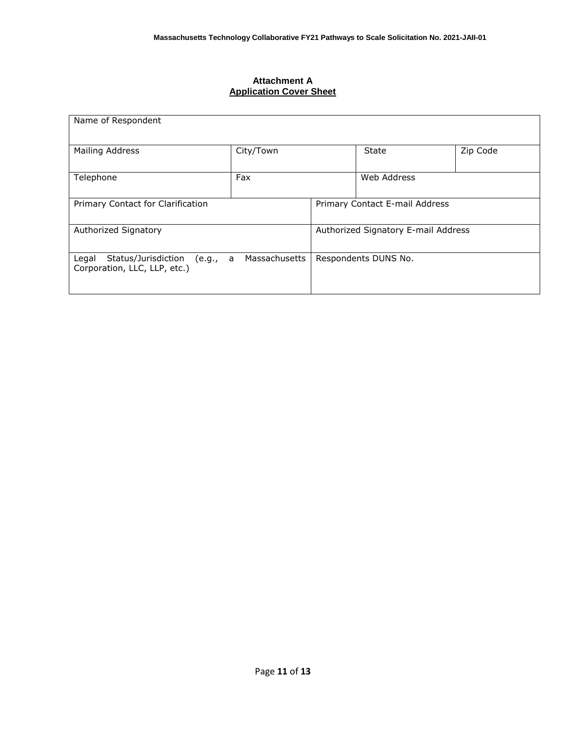### **Attachment A Application Cover Sheet**

| Name of Respondent                                                       |               |                                     |              |          |  |  |  |
|--------------------------------------------------------------------------|---------------|-------------------------------------|--------------|----------|--|--|--|
| <b>Mailing Address</b>                                                   | City/Town     |                                     | <b>State</b> | Zip Code |  |  |  |
| Telephone                                                                | Fax           |                                     | Web Address  |          |  |  |  |
| Primary Contact for Clarification                                        |               | Primary Contact E-mail Address      |              |          |  |  |  |
| Authorized Signatory                                                     |               | Authorized Signatory E-mail Address |              |          |  |  |  |
| Status/Jurisdiction<br>Legal<br>(e.g., a<br>Corporation, LLC, LLP, etc.) | Massachusetts | Respondents DUNS No.                |              |          |  |  |  |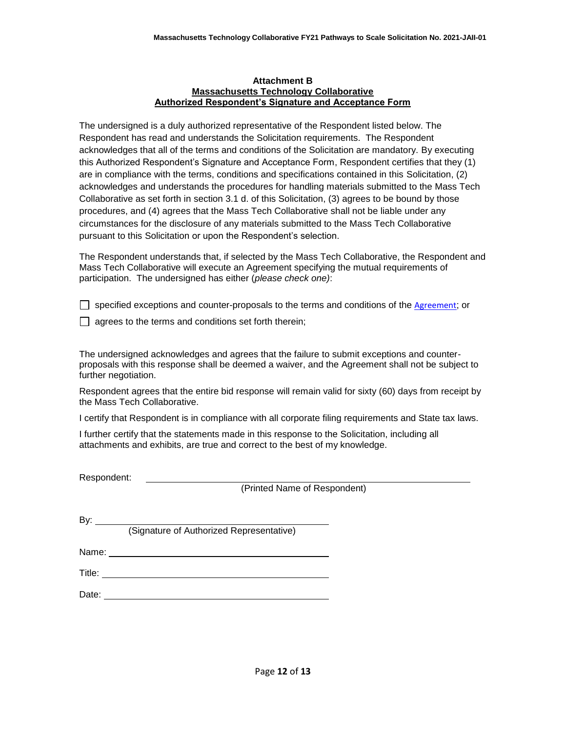#### **Attachment B Massachusetts Technology Collaborative Authorized Respondent's Signature and Acceptance Form**

The undersigned is a duly authorized representative of the Respondent listed below. The Respondent has read and understands the Solicitation requirements. The Respondent acknowledges that all of the terms and conditions of the Solicitation are mandatory. By executing this Authorized Respondent's Signature and Acceptance Form, Respondent certifies that they (1) are in compliance with the terms, conditions and specifications contained in this Solicitation, (2) acknowledges and understands the procedures for handling materials submitted to the Mass Tech Collaborative as set forth in section 3.1 d. of this Solicitation, (3) agrees to be bound by those procedures, and (4) agrees that the Mass Tech Collaborative shall not be liable under any circumstances for the disclosure of any materials submitted to the Mass Tech Collaborative pursuant to this Solicitation or upon the Respondent's selection.

The Respondent understands that, if selected by the Mass Tech Collaborative, the Respondent and Mass Tech Collaborative will execute an Agreement specifying the mutual requirements of participation. The undersigned has either (*please check one)*:

 $\Box$  specified exceptions and counter-proposals to the terms and conditions of the [Agreement](https://masstech.org/sites/mtc/files/documents/Legal/Grant%20Agreement%20and%20SOW%20FINAL%20with%20watermark.pdf); or

 $\Box$  agrees to the terms and conditions set forth therein;

The undersigned acknowledges and agrees that the failure to submit exceptions and counterproposals with this response shall be deemed a waiver, and the Agreement shall not be subject to further negotiation.

Respondent agrees that the entire bid response will remain valid for sixty (60) days from receipt by the Mass Tech Collaborative.

I certify that Respondent is in compliance with all corporate filing requirements and State tax laws.

I further certify that the statements made in this response to the Solicitation, including all attachments and exhibits, are true and correct to the best of my knowledge.

Respondent:

(Printed Name of Respondent)

By:

(Signature of Authorized Representative)

Title:

Name: when the contract of the contract of the contract of the contract of the contract of the contract of the contract of the contract of the contract of the contract of the contract of the contract of the contract of the

Date: **Date: Date: Date: Date: Date: Date: Date: Date: Date: Date: Date: Date: Date: Date: Date: Date: Date: Date: Date: Date: Date: Date: Date: Date: Date: Date: Date:**